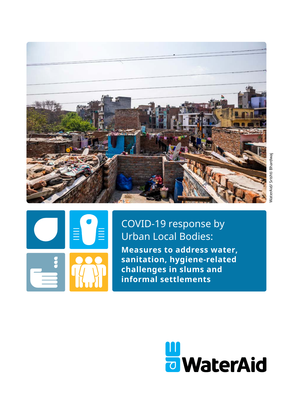



COVID-19 response by Urban Local Bodies: **Measures to address water, sanitation, hygiene-related challenges in slums and informal settlements**

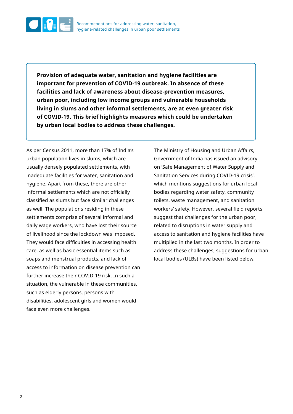

**Provision of adequate water, sanitation and hygiene facilities are important for prevention of COVID-19 outbreak. In absence of these facilities and lack of awareness about disease-prevention measures, urban poor, including low income groups and vulnerable households living in slums and other informal settlements, are at even greater risk of COVID-19. This brief highlights measures which could be undertaken by urban local bodies to address these challenges.**

As per Census 2011, more than 17% of India's urban population lives in slums, which are usually densely populated settlements, with inadequate facilities for water, sanitation and hygiene. Apart from these, there are other informal settlements which are not officially classified as slums but face similar challenges as well. The populations residing in these settlements comprise of several informal and daily wage workers, who have lost their source of livelihood since the lockdown was imposed. They would face difficulties in accessing health care, as well as basic essential items such as soaps and menstrual products, and lack of access to information on disease prevention can further increase their COVID-19 risk. In such a situation, the vulnerable in these communities, such as elderly persons, persons with disabilities, adolescent girls and women would face even more challenges.

The Ministry of Housing and Urban Affairs, Government of India has issued an advisory on 'Safe Management of Water Supply and Sanitation Services during COVID-19 crisis', which mentions suggestions for urban local bodies regarding water safety, community toilets, waste management, and sanitation workers' safety. However, several field reports suggest that challenges for the urban poor, related to disruptions in water supply and access to sanitation and hygiene facilities have multiplied in the last two months. In order to address these challenges, suggestions for urban local bodies (ULBs) have been listed below.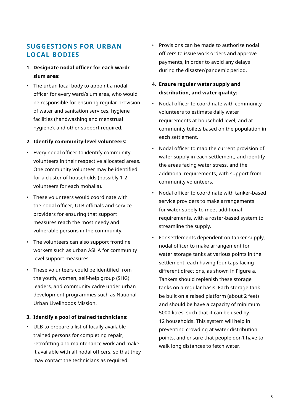# **SUGGESTIONS FOR URBAN LOCAL BODIES**

- **1. Designate nodal officer for each ward/ slum area:**
- The urban local body to appoint a nodal officer for every ward/slum area, who would be responsible for ensuring regular provision of water and sanitation services, hygiene facilities (handwashing and menstrual hygiene), and other support required.

#### **2. Identify community-level volunteers:**

- Every nodal officer to identify community volunteers in their respective allocated areas. One community volunteer may be identified for a cluster of households (possibly 1-2 volunteers for each mohalla).
- These volunteers would coordinate with the nodal officer, ULB officials and service providers for ensuring that support measures reach the most needy and vulnerable persons in the community.
- The volunteers can also support frontline workers such as urban ASHA for community level support measures.
- These volunteers could be identified from the youth, women, self-help group (SHG) leaders, and community cadre under urban development programmes such as National Urban Livelihoods Mission.

### **3. Identify a pool of trained technicians:**

• ULB to prepare a list of locally available trained persons for completing repair, retrofitting and maintenance work and make it available with all nodal officers, so that they may contact the technicians as required.

- Provisions can be made to authorize nodal officers to issue work orders and approve payments, in order to avoid any delays during the disaster/pandemic period.
- **4. Ensure regular water supply and distribution, and water quality:**
- Nodal officer to coordinate with community volunteers to estimate daily water requirements at household level, and at community toilets based on the population in each settlement.
- Nodal officer to map the current provision of water supply in each settlement, and identify the areas facing water stress, and the additional requirements, with support from community volunteers.
- Nodal officer to coordinate with tanker-based service providers to make arrangements for water supply to meet additional requirements, with a roster-based system to streamline the supply.
- For settlements dependent on tanker supply, nodal officer to make arrangement for water storage tanks at various points in the settlement, each having four taps facing different directions, as shown in Figure a. Tankers should replenish these storage tanks on a regular basis. Each storage tank be built on a raised platform (about 2 feet) and should be have a capacity of minimum 5000 litres, such that it can be used by 12 households. This system will help in preventing crowding at water distribution points, and ensure that people don't have to walk long distances to fetch water.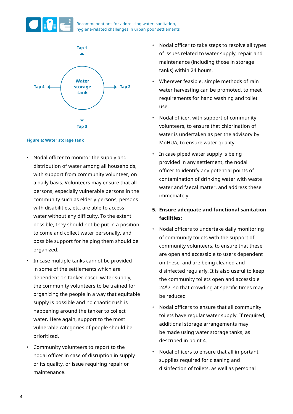

Recommendations for addressing water, sanitation, hygiene-related challenges in urban poor settlements



#### **Figure a: Water storage tank**

- Nodal officer to monitor the supply and distribution of water among all households, with support from community volunteer, on a daily basis. Volunteers may ensure that all persons, especially vulnerable persons in the community such as elderly persons, persons with disabilities, etc. are able to access water without any difficulty. To the extent possible, they should not be put in a position to come and collect water personally, and possible support for helping them should be organized.
- In case multiple tanks cannot be provided in some of the settlements which are dependent on tanker based water supply, the community volunteers to be trained for organizing the people in a way that equitable supply is possible and no chaotic rush is happening around the tanker to collect water. Here again, support to the most vulnerable categories of people should be prioritized.
- Community volunteers to report to the nodal officer in case of disruption in supply or its quality, or issue requiring repair or maintenance.
- Nodal officer to take steps to resolve all types of issues related to water supply, repair and maintenance (including those in storage tanks) within 24 hours.
- Wherever feasible, simple methods of rain water harvesting can be promoted, to meet requirements for hand washing and toilet use.
- Nodal officer, with support of community volunteers, to ensure that chlorination of water is undertaken as per the advisory by MoHUA, to ensure water quality.
- In case piped water supply is being provided in any settlement, the nodal officer to identify any potential points of contamination of drinking water with waste water and faecal matter, and address these immediately.

### **5. Ensure adequate and functional sanitation facilities:**

- Nodal officers to undertake daily monitoring of community toilets with the support of community volunteers, to ensure that these are open and accessible to users dependent on these, and are being cleaned and disinfected regularly. It is also useful to keep the community toilets open and accessible 24\*7, so that crowding at specific times may be reduced
- Nodal officers to ensure that all community toilets have regular water supply. If required, additional storage arrangements may be made using water storage tanks, as described in point 4.
- Nodal officers to ensure that all important supplies required for cleaning and disinfection of toilets, as well as personal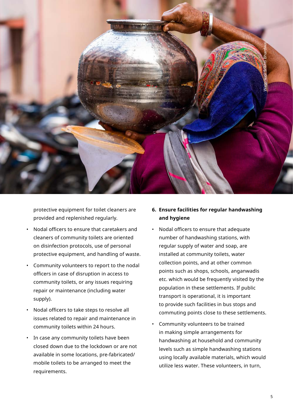

protective equipment for toilet cleaners are provided and replenished regularly.

- Nodal officers to ensure that caretakers and cleaners of community toilets are oriented on disinfection protocols, use of personal protective equipment, and handling of waste.
- Community volunteers to report to the nodal officers in case of disruption in access to community toilets, or any issues requiring repair or maintenance (including water supply).
- Nodal officers to take steps to resolve all issues related to repair and maintenance in community toilets within 24 hours.
- In case any community toilets have been closed down due to the lockdown or are not available in some locations, pre-fabricated/ mobile toilets to be arranged to meet the requirements.

### **6. Ensure facilities for regular handwashing and hygiene**

- Nodal officers to ensure that adequate number of handwashing stations, with regular supply of water and soap, are installed at community toilets, water collection points, and at other common points such as shops, schools, anganwadis etc. which would be frequently visited by the population in these settlements. If public transport is operational, it is important to provide such facilities in bus stops and commuting points close to these settlements.
- Community volunteers to be trained in making simple arrangements for handwashing at household and community levels such as simple handwashing stations using locally available materials, which would utilize less water. These volunteers, in turn,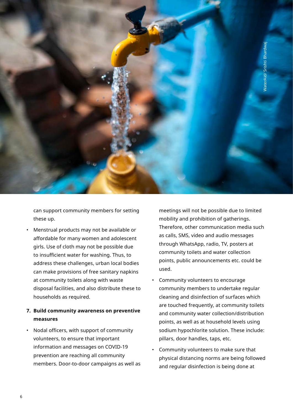

can support community members for setting these up.

• Menstrual products may not be available or affordable for many women and adolescent girls. Use of cloth may not be possible due to insufficient water for washing. Thus, to address these challenges, urban local bodies can make provisions of free sanitary napkins at community toilets along with waste disposal facilities, and also distribute these to households as required.

### **7. Build community awareness on preventive measures**

• Nodal officers, with support of community volunteers, to ensure that important information and messages on COVID-19 prevention are reaching all community members. Door-to-door campaigns as well as meetings will not be possible due to limited mobility and prohibition of gatherings. Therefore, other communication media such as calls, SMS, video and audio messages through WhatsApp, radio, TV, posters at community toilets and water collection points, public announcements etc. could be used.

- Community volunteers to encourage community members to undertake regular cleaning and disinfection of surfaces which are touched frequently, at community toilets and community water collection/distribution points, as well as at household levels using sodium hypochlorite solution. These include: pillars, door handles, taps, etc.
- Community volunteers to make sure that physical distancing norms are being followed and regular disinfection is being done at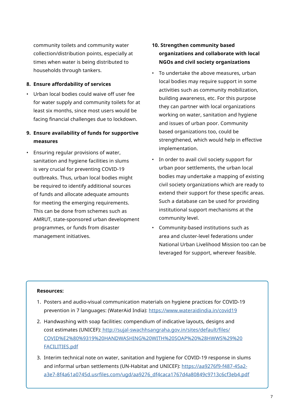community toilets and community water collection/distribution points, especially at times when water is being distributed to households through tankers.

### **8. Ensure affordability of services**

- Urban local bodies could waive off user fee for water supply and community toilets for at least six months, since most users would be facing financial challenges due to lockdown.
- **9. Ensure availability of funds for supportive measures**
- Ensuring regular provisions of water, sanitation and hygiene facilities in slums is very crucial for preventing COVID-19 outbreaks. Thus, urban local bodies might be required to identify additional sources of funds and allocate adequate amounts for meeting the emerging requirements. This can be done from schemes such as AMRUT, state-sponsored urban development programmes, or funds from disaster management initiatives.

## **10. Strengthen community based organizations and collaborate with local NGOs and civil society organizations**

- To undertake the above measures, urban local bodies may require support in some activities such as community mobilization, building awareness, etc. For this purpose they can partner with local organizations working on water, sanitation and hygiene and issues of urban poor. Community based organizations too, could be strengthened, which would help in effective implementation.
- In order to avail civil society support for urban poor settlements, the urban local bodies may undertake a mapping of existing civil society organizations which are ready to extend their support for these specific areas. Such a database can be used for providing institutional support mechanisms at the community level.
- Community-based institutions such as area and cluster-level federations under National Urban Livelihood Mission too can be leveraged for support, wherever feasible.

### **Resources:**

- 1. Posters and audio-visual communication materials on hygiene practices for COVID-19 prevention in 7 languages: (WaterAid India): [https://www.wateraidindia.in/covid19](https://www.wateraidindia.in/covid19
)
- 2. Handwashing with soap facilities: compendium of indicative layouts, designs and cost estimates (UNICEF): [http://sujal-swachhsangraha.gov.in/sites/default/files/](http://sujal-swachhsangraha.gov.in/sites/default/files/COVID%E2%80%9319%20HANDWASHING%20WITH%20SOAP%20%28HWWS%29%20FACILITIES.pdf) [COVID%E2%80%9319%20HANDWASHING%20WITH%20SOAP%20%28HWWS%29%20](http://sujal-swachhsangraha.gov.in/sites/default/files/COVID%E2%80%9319%20HANDWASHING%20WITH%20SOAP%20%28HWWS%29%20FACILITIES.pdf) [FACILITIES.pdf](http://sujal-swachhsangraha.gov.in/sites/default/files/COVID%E2%80%9319%20HANDWASHING%20WITH%20SOAP%20%28HWWS%29%20FACILITIES.pdf)
- 3. Interim technical note on water, sanitation and hygiene for COVID-19 response in slums and informal urban settlements (UN-Habitat and UNICEF): [https://aa9276f9-f487-45a2](https://aa9276f9-f487-45a2-a3e7-8f4a61a0745d.usrfiles.com/ugd/aa9276_df4caca1767d4a80849c9713c6cf3eb4.pdf
) [a3e7-8f4a61a0745d.usrfiles.com/ugd/aa9276\\_df4caca1767d4a80849c9713c6cf3eb4.pdf](https://aa9276f9-f487-45a2-a3e7-8f4a61a0745d.usrfiles.com/ugd/aa9276_df4caca1767d4a80849c9713c6cf3eb4.pdf
)